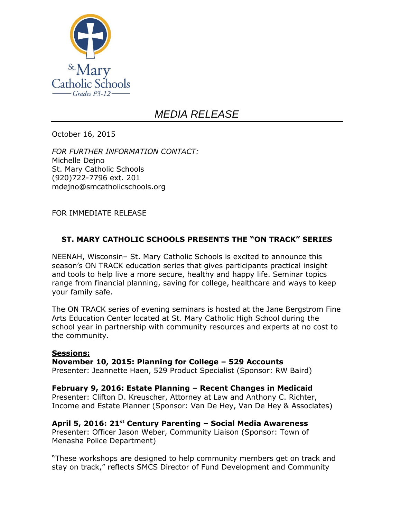

## *MEDIA RELEASE*

October 16, 2015

*FOR FURTHER INFORMATION CONTACT:* Michelle Dejno St. Mary Catholic Schools (920)722-7796 ext. 201 mdejno@smcatholicschools.org

FOR IMMEDIATE RELEASE

## **ST. MARY CATHOLIC SCHOOLS PRESENTS THE "ON TRACK" SERIES**

NEENAH, Wisconsin– St. Mary Catholic Schools is excited to announce this season's ON TRACK education series that gives participants practical insight and tools to help live a more secure, healthy and happy life. Seminar topics range from financial planning, saving for college, healthcare and ways to keep your family safe.

The ON TRACK series of evening seminars is hosted at the Jane Bergstrom Fine Arts Education Center located at St. Mary Catholic High School during the school year in partnership with community resources and experts at no cost to the community.

## **Sessions:**

**November 10, 2015: Planning for College – 529 Accounts**

Presenter: Jeannette Haen, 529 Product Specialist (Sponsor: RW Baird)

**February 9, 2016: Estate Planning – Recent Changes in Medicaid** Presenter: Clifton D. Kreuscher, Attorney at Law and Anthony C. Richter, Income and Estate Planner (Sponsor: Van De Hey, Van De Hey & Associates)

## **April 5, 2016: 21st Century Parenting – Social Media Awareness**

Presenter: Officer Jason Weber, Community Liaison (Sponsor: Town of Menasha Police Department)

"These workshops are designed to help community members get on track and stay on track," reflects SMCS Director of Fund Development and Community